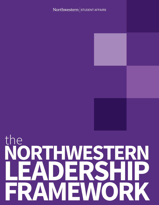### Northwestern STUDENT AFFAIRS

the **NORTHWESTERN LEADERSHIP FRAMEWORK**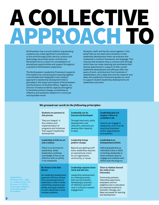## SOLLECTIVE<br>A PROACH TO APPROACH TO

Northwestern has a proud tradition of graduating students who make significant contributions to the world through public service, science and technology, the private sector, and the arts. We believe this is a result of a constellation of educational opportunities and support throughout a student's Northwestern experience.

The Northwestern Leadership Framework supports this tradition by connecting and weaving together a coordinated and integrated cross-campus approach to leadership development that is grounded in the values and mission of Northwestern and the Division of Student Affairs. Together, we strive to increase students' capacity and agency to facilitate positive change, and develop as reflective and authentic leaders for a more just and equitable world.

Students, staff, and faculty came together in the belief that we can best serve students in their leadership development when we embrace and implement a common framework and language. This ensures that students have a common lens through which they can make meaning and synthesize their diverse experiences in support of their overall leadership development and efficacy. After two years of work, contributions from hundreds of stakeholders, and a deep dive into the research and data, the Leadership Framework guides our work to support student leadership development and leadership outcomes.

and development.

### We ground our work in the following principles:

| Students are partners in<br>this process.<br>They are integral in<br>the creation and<br>implementation of<br>programs and initiatives<br>that support leadership<br>development.                                                                                                | Leadership can be<br>learned and developed.<br>Through hard work, skills<br>development, and<br>reflection, everyone can<br>develop their capacity<br>to lead.                                                                 | Leadership does not<br>require a title; it is<br>available to all.<br>Anyone can engage in<br>leadership, and it can be<br>practiced anywhere<br>within organizations<br>and systems.                                                                    |
|----------------------------------------------------------------------------------------------------------------------------------------------------------------------------------------------------------------------------------------------------------------------------------|--------------------------------------------------------------------------------------------------------------------------------------------------------------------------------------------------------------------------------|----------------------------------------------------------------------------------------------------------------------------------------------------------------------------------------------------------------------------------------------------------|
| Leadership is both an art<br>and a science.<br>There is no formula for<br>leadership. Great<br>leadership combines<br>knowledge of how to be<br>effective with an ability<br>to be adaptable.                                                                                    | Leadership brings<br>positive change.<br>Beyond just getting stuff<br>done, leadership requires<br>an aspirational vision<br>for an organization,<br>community, or cause.                                                      | Leadership is an<br>interpersonal activity.<br>Defining leadership as<br>individual traits or skills<br>is limiting; leadership is<br>what someone does to<br>engage and mobilize with<br>others over the long run.                                      |
| No theory is the best<br>theory.<br>Our leadership development<br>approach will honor diverse<br>forms and perspectives of<br>leadership in order to foster<br>authenticity, expand acces-<br>sibility, and equip students<br>to work collectively to solve<br>complex problems. | Leadership requires inner<br>work and self care.<br>Leadership development<br>is a lifelong process<br>that can be stressful.<br>Developing a practice<br>of reflection and self<br>care is critical to sustain<br>engagement. | There is wisdom beyond<br>the walls of our<br>University.<br>Community partners,<br>internship supervisors,<br>employers, and our<br>neighbors are co-educators.<br>Our physical locations in<br>Evanston, Chicago, and<br>Qatar are assets for learning |

*leadership: A guide for students.*

2

Adapted from Shankman, M. L., Allen, S. J., Haber-Curran, P., & Komives, S. R. (2015). *Emotionally intelligent*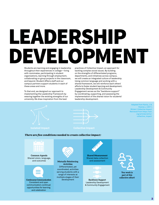### LEADERSHIP DEVELOPMENT

Students are learning and engaging in leadership throughout their experiences in college—living with roommates, participating in student organizations, learning through employment, collaborating on group projects in the classroom, and beyond. Student Affairs staff and our campus partners support students in each of these areas and more.

To that end, we designed our approach to implementing the Leadership Framework by weaving together the existing strengths of our university. We draw inspiration from the best

practices of Collective Impact, an approach for tackling complex social issues. By building on the strengths of differentiated programs, departments, and initiatives across campus, we will create an integrated culture of leadership. Using common language and working with a shared framework, we will reinforce each others' efforts to foster student learning and development. Leadership Development & Community Engagement serves as the "backbone support" by coordinating, supporting, and assessing the implementation of the shared vision for students' leadership development.





Adapted from Kania, J. & Kramer, J. (2011, Winter). *Collective Impact*. Retrieved from https://ssir. org/articles/entry/ collective\_impact

### There are five conditions needed to create collective impact:



**Common Agenda** Shared vision, language, and outcomes



**Continuous Communication**  Consistent and open communication; continual opportunities for learning and celebration



**Activities**  Differentiated, yet coordinated, activities serving students with a range of interests at multiple stages of their development







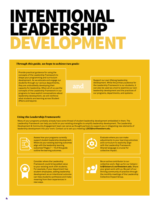### INTENTIONAL LEADERSHI DEVELOPMENT

### Through this guide, we hope to achieve two goals:

Provide practical guidance for using the concepts of the Leadership Framework to shape your programming and curriculum development. As we educate and engage our students through our various departments, they are undoubtedly developing their capacity for leadership. When all of us use the concepts of the Leadership Framework in our programs to have explicit conversations about leadership development, we will reinforce what students are learning across Student Affairs and beyond.

### **and**

Support our own lifelong leadership development. While the primary audience for the Leadership Framework is our students, it can also be used as a tool to examine our own leadership development and the practices of our programs, departments, and systems.

### Using the Leadership Framework:

Many of your programs probably already have some thread of student leadership development embedded in them. The Leadership Framework can help you build on your existing strengths to amplify leadership development. The Leadership Development & Community Engagement team can serve as thought partners to support you in integrating new elements of leadership development into your work. Contact us to set up a meeting: **LDCE@northwestern.edu**.



Assess how your programs currently support student leadership development. Where do your existing learning outcomes align with the leadership learning outcomes? Pages 7 – 16 of this guide outline the learning outcomes.

Consider where the Leadership Framework could bring added value to your existing work with students. For example, if your department has student employees, adding leadership development as an intentional outcome can help students synthesize and make meaning from their experiences in new ways.



Evaluate where you can make adjustments to your learning outcomes and curriculum to explicitly align with the Leadership Framework. Shared language is crucial for collective impact.

Be an active contributor to our collective work. Sign up for our listserv: **lci@listserv.it.northwestern.edu**. Share your great work with us. Be part of our thriving community of practice through the monthly meetings of the Leadership Collective Impact Group.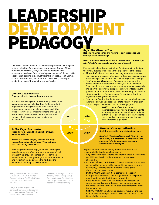### LEADERSHIP **MENT** PEDAGOGY Reflective Observation:

**Noticing what happened and relating to past experience and**

*take? What did you expect and what was different?*

*What? What happened? What was your role? What actions did you* 

Provide active learning opportunities for students to reflect on their individual experiences and the experiences of the group. Think, Pair, Share: Students think or jot notes individually, then pair up to discuss similarities or differences in perspectives or to challenge each other to think in new ways about the topic. • Continuum or Barometer: Designate an imaginary line across a room that represents a scale (1 – 10, for example). Pose questions and have students, as they are able, physically

**conceptual understandings**

Leadership development is propelled by experiential learning and critical reflection. As educational reformer and Student Affairs forebear John Dewey (1916) said, "We do not learn from experience… we learn from reflecting on experience." Kolb's (1984) experiential learning cycle illustrates this process. Use of a simple critical reflection tool, "*What, So What, Now What*," can support students in moving through the learning cycle.

### **act apply think reflect** line up on the continuum to represent how they feel about the question or prompt. Alternately, this same activity can be done with notecards or signs representing a number rather than physically moving around a room. • Concentric Circles: Students form two concentric circles and take turns answering questions. Rotate with every change in prompt. Report the themes back to the large group. Concrete Experience: **Engaging directly in an authentic situation** Students are having concrete leadership development experiences every single day through their student organizations, living situations, jobs, community engagement, campus activism, classes, and other types of involvement. Invite students to draw upon examples from their daily experiences as a lens through which to examine their leadership development. Active Experimentation: **Testing new ideas and honing skills through a new experience** *Now what? How will I apply my new learning? How will my actions be different? In what ways can I test out my new ideas?* Encourage students to apply their new learning the next time they act. When students are aware of their own learning, they will be more invested in their development and see greater growth. Each experience and reflection builds towards the next, and the experiential learning cycle continues. • Written prompts or journaling: Incorporate regular writing or journaling into your program as an opportunity for students to think more deeply about a topic. Students can collectively develop prompts that are relevant for the experience. Support students in connecting their experiences to the concepts in the Leadership Framework. • Self-Assessments: Students self-identify areas in which they would like to develop or improve upon current areas of strength. Articles, Videos, and Research: Have students find articles or videos that connect to the leadership concepts they are developing. Create space for students to lead group discussions on these pieces. • Buzz Groups: Groups of 3 – 5 gather for discussion of multiple perspectives or question generation. Have groups report out to highlight additional viewpoints. • Case Studies: These allow students to draw lessons or conclusions and connect those to their own experiences. Students can develop their own case studies from their real life experiences. Gallery Walk: In small groups, students move around the room to answer prompts or react to visuals and build on the ideas of other groups. Abstract Conceptualization: **Distilling perception into abstract concepts** *So what? Why does this matter? What did you learn? Why is it important? What patterns are emerging? What larger social issues are connected to these topics?* Dewey, J. (1916/1980). Democracy and Education. In J. A. Boydston (Ed.), *John Dewey: The Middle Works, 9, 1889 – 1924*. Carbondale, IL: SIU Press. Kolb, D. A. (1984). *Experiential learning: Experience as the source of learning and development*. Englewood Clifs: NJ, Prentice-Hall. University of Georgia Center for Teaching and Learning. (2017). *Experiential Learning*. Retrieved from: https://www.ctl.uga.edu/ pages/experiential-learning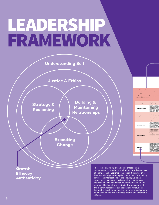### LEADERSHIP FRAMEWORK



leadership development: authenticity, continual growth and development, and increased agency and leadership

efficacy.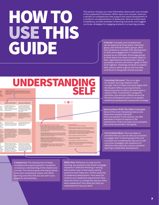### HOW TO USE THIS GUIDE

This section will give you more information about each core concept of the Leadership Framework. Within each core concept, there are a handful of competencies that support the overall development of a student's conceptualization of leadership. Here we outline each competency, provide examples of learning outcomes, and suggest curricular strategies for engaging students in a learning process.

> Concept: Concepts and competencies can be explored at three levels: individual, group, and individual within groups. Work with students to consider their development of skills and engagement in a leadership process as an individual. Encourage groups to think about how these concepts relate to their organizational development, internal processes, and the outcomes or goals of their work together. Challenge students to explore their actions within a group and how they contribute to the group's overall success.

### UNDERSTANDING Learring Outcome:<br>
Students who participate in leadership development programs and<br>
schedules will be obtained and articulate their conception.<br>
A order that all concepts and accelerate and how they inform their authoric<br> Learning Outcome: Students who participate in leadership development programs and activities will be able to identify and articulate their own values, strengths, and social identities and how they inform their authentic

Students will be able to... Ou

leadership style.

develop strengths.

of self.

and develop a support system.

dents gths, they can engage with others in an authentic and effective way. etter ctions **b** easily

Our values guide decision-

ming

he can m and

gths, personality, and values informs

opt or fectively.

sense of who we are based on our d social  $is, gender,$ religion, sexual orientation, origin, ach been iences ities as tions and lities. This way we ink, and ituation.

 $nd$ is he rexpected hose welop ur ability strong unities.

oret our is when values, rs more Articulate their values and principles involved in personal decision-making; act in congruence with personal values, beliefs, identity, ethical, spiritual, and moral values. How do your values shape your actions? What happens when your actions and values align? What happens when your actions are not aligned with your values? What or who has shaped your values? ty to be ers will trengths d upon Articulate, internalize, and apply personal skills and abilities; accurately assess growth areas and opportunities to deepen and How do your individual strengths contribute to a group, team, or organization? What are you passionate about, and how does

ons to the eract with Gnowing Translate one's previous experiences, personality, beliefs, and capacities into an authentic and productive leadership style. How would others describe your leadership style? How do your strengths inform your leadership style?

> Demonstrate commitment to understanding one's own identity and culture; integrate multiple aspects of identity into a coherent whole; recognize and exhibit interdependence in accordance with environmental, cultural, and personal values; identify and commit to important aspects What social identities shape your daily experiences? How do your social identities affect the way you show up in groups? How has the way you were socialized shaped your view of leadership?

that passion align with what the world needs?

Withstand and bounce back (or forward) from adversity; preempt and prevent adversity; make purposeful decisions regarding balance among education, work, and leisure time; engage in strategies for self-care and to foster wellness; seek mentorship What do you do to re-charge or practice self-care? What types of activities can become a daily practice of self-care for you? Who are your mentors and how do they form a network of support for you? How do you approach obstacles or challenging situations?

Intersections With The Other Concepts • Justice & Ethics: Explore the values and principles involved in personal and organizational decision-making and the impacts of those decisions on others; interrogate how social identities influence how you interpret and experience the world, and how abuse of power, authority, and positional leadership roles maintains systems of oppression • Strategy & Reasoning: Analyze how your experiences, strengths, style, and personality might shape the way you reason, plan, and make decisions; consider strengths and how they support the ways

• Building & Maintaining Relationships: Consider how your leadership style affects your ability to develop authentic relationships; identify the strengths and needs of a group and how to contribute your ideas and strengths to make progress on a common agenda or group goals

you define and measure your success

• Executing Change: Deconstruct your motivations and take accountability for your actions; reflect upon how you are uniquely able to contribute to a larger change movement through collective action

### Curriculum Ideas • Ranking of values with reflective storytelling

**The Co** 

• Reflective journals with prompts, or prompts that can be explored through drawing, poetry, spoken word, or other means of expression • Strengths-based self-assessment tools and personality assessments (Gallup - StrengthsQuest, Myers-Briggs Type Indicator, True Colors, Bolman and Deal - Leadership Orientations Assessment, Kouzes and Posner - Leadership Practices Inventory) • Cycle of Socialization and Social Identity Wheel

• Conversations with mentors who can share observations about leadership style and strengths • Personal development reflection and goal setting • Identify practices to develop resilience, promote wellness, and engage in self-care such as sharing gratitude, incorporating nature,

breathing or mindfulness techniques • Sharing stories of overcoming obstacles and lessons learned Learning Outcome: This is our goal for student learning related to each concept. Each of these outcomes aligns with the Student Affairs Learning Domains. Measuring what students are learning as a result of their involvement in programs, activities, and services offered across the Division and beyond is part of our greater leadership development assessment strategy.

Intersections With The Other Concepts: Some of the most interesting topics arise where the concepts intersect with one another. In this section, we offer examples of topics to explore in the intersections. There are many more examples than what we provide in this guide.

Curriculum Ideas: Here are ideas of activities that you can do with your students to engage them in learning about the core concepts and competencies. Be sure to pair curricular strategies with questions for reflection that explicitly connect students' learning to leadership development.

Competency**:** The development of these competencies supports growth in students' conceptual understanding of the related core concept. This section gives information about what each competency means, and offers learning outcomes that you can use in your programs and activities.

Reflection: Reflection is a key tool for learning. Use questions like these to engage students in reflective thinking or writing. Add another layer of learning by asking questions that relate your content explicitly to leadership development. How does this relate to your leadership experiences? How does this inform or change the way you think about leadership? How does this help you understand the way you lead?

9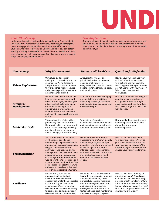

**About This Concept:**<br>
Understanding self is the foundation of leadership. When students<br>
Understanding self is the foundation of leadership. When students<br>
students who participate in leadership development programs and<br> Understanding self is the foundation of leadership. When students understand their motivations, behaviors, identities, and strengths, they can engage with others in an authentic and effective way. Students who work to develop an understanding of self can better identify how they may be affected by their context and interactions with other people, why they make certain decisions, and more easily adapt to changing circumstances.

### Learning Outcome:

Students who participate in leadership development programs and activities will be able to identify and articulate their own values, strengths, and social identities and how they inform their authentic leadership style.

| Competency                             | <b>Why It's Important</b>                                                                                                                                                                                                                                                                                                                                                                                                                                                                                           | Students will be able to                                                                                                                                                                                                                                                                                                  | <b>Questions for Reflection</b>                                                                                                                                                                                                                                                     |
|----------------------------------------|---------------------------------------------------------------------------------------------------------------------------------------------------------------------------------------------------------------------------------------------------------------------------------------------------------------------------------------------------------------------------------------------------------------------------------------------------------------------------------------------------------------------|---------------------------------------------------------------------------------------------------------------------------------------------------------------------------------------------------------------------------------------------------------------------------------------------------------------------------|-------------------------------------------------------------------------------------------------------------------------------------------------------------------------------------------------------------------------------------------------------------------------------------|
| <b>Values Exploration</b>              | Our values guide decision-<br>making and how we interpret our<br>experiences. We find meaning<br>and purpose in our actions when<br>they are aligned with our values,<br>and can engage with others more<br>authentically as a result.                                                                                                                                                                                                                                                                              | Articulate their values and<br>principles involved in personal<br>decision-making; act in<br>congruence with personal values,<br>beliefs, identity, ethical, spiritual,<br>and moral values.                                                                                                                              | How do your values shape your<br>actions? What happens when<br>your actions and values align?<br>What happens when your actions<br>are not aligned with your values?<br>What or who has shaped<br>your values?                                                                      |
| <b>Strengths</b><br><b>Development</b> | We each have the capacity to be<br>leaders, and no two leaders will<br>be alike. Identifying our strengths<br>allows each of us to build upon<br>our talents and amplify the<br>unique ways in which we can<br>work with others in a team and<br>make positive contributions to the<br>world.                                                                                                                                                                                                                       | Articulate, internalize, and apply<br>personal skills and abilities;<br>accurately assess growth areas<br>and opportunities to deepen and<br>develop strengths.                                                                                                                                                           | How do your individual strengths<br>contribute to a group, team,<br>or organization? What are you<br>passionate about, and how does<br>that passion align with what the<br>world needs?                                                                                             |
| <b>Leadership Style</b>                | The combination of strengths,<br>personality, and values informs<br>the ways in which we interact with<br>others to make change. Knowing<br>our style allows us to adapt or<br>adjust to engage more effectively.                                                                                                                                                                                                                                                                                                   | Translate one's previous<br>experiences, personality, beliefs,<br>and capacities into an authentic<br>and productive leadership style.                                                                                                                                                                                    | How would others describe your<br>leadership style? How do your<br>strengths inform your<br>leadership style?                                                                                                                                                                       |
| <b>Social Identities</b>               | Social identities are the sense<br>of who we are based on our<br>memberships in perceived social<br>groups such as race, class, gender,<br>religion, sexual orientation,<br>ability, age, and national origin,<br>among others. We have each been<br>shaped by our own experiences<br>of holding different identities as<br>well as by others' perceptions and<br>assumptions of our identities. This<br>socialization impacts the way we<br>understand ourselves, think, and<br>act within a leadership situation. | Demonstrate commitment to<br>understanding one's own identity<br>and culture; integrate multiple<br>aspects of identity into a coherent<br>whole; recognize and exhibit<br>interdependence in accordance<br>with environmental, cultural, and<br>personal values; identify and<br>commit to important aspects<br>of self. | What social identities shape<br>your daily experiences? How do<br>your social identities affect the<br>way you show up in groups? How<br>has the way you were socialized<br>shaped your view of leadership?                                                                         |
| <b>Resilience</b>                      | Encountering personal and<br>organizational obstacles is<br>inevitable. Resilience is the<br>capacity to handle the unexpected<br>in stride and grow from those<br>experiences. When we develop<br>resilience, we increase our ability<br>to persist and to develop strong<br>relationships and communities.                                                                                                                                                                                                        | Withstand and bounce back (or<br>forward) from adversity; preempt<br>and prevent adversity; make<br>purposeful decisions regarding<br>balance among education, work,<br>and leisure time; engage in<br>strategies for self-care and to<br>foster wellness; seek mentorship<br>and develop a support system.               | What do you do to re-charge or<br>practice self-care? What types<br>of activities can become a daily<br>practice of self-care for you? Who<br>are your mentors and how do they<br>form a network of support for you?<br>How do you approach obstacles or<br>challenging situations? |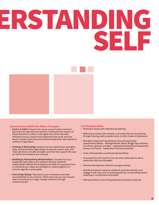# IRSTANI SELF



### Intersections With The Other Concepts

- *Justice & Ethics:* Explore the values and principles involved in personal and organizational decision-making and the impacts of those decisions on others; interrogate how social identities influence how you interpret and experience the world, and how abuse of power, authority, and positional leadership roles maintains systems of oppression
- Strategy & Reasoning: Analyze how your experiences, strengths, style, and personality might shape the way you reason, plan, and make decisions; consider strengths and how they support the ways you define and measure your success
- Building & Maintaining Relationships: Consider how your leadership style affects your ability to develop authentic relationships; identify the strengths and needs of a group and how to contribute your ideas and strengths to make progress on a common agenda or group goals
- Executing Change: Deconstruct your motivations and take accountability for your actions; reflect upon how you are uniquely able to contribute to a larger change movement through collective action

### Curriculum Ideas

- Ranking of values with reflective storytelling
- Reflective journals with prompts, or prompts that can be explored through drawing, poetry, spoken word, or other means of expression
- Strengths-based self-assessment tools and personality assessments (Gallup - StrengthsQuest, Myers-Briggs Type Indicator, True Colors, Bolman and Deal - Leadership Orientations Assessment, Kouzes and Posner - Leadership Practices Inventory)
- Cycle of Socialization and Social Identity Wheel
- Conversations with mentors who can share observations about leadership style and strengths
- Personal development reflection and goal setting
- Identify practices to develop resilience, promote wellness, and engage in self-care such as sharing gratitude, incorporating nature, breathing or mindfulness techniques
- Sharing stories of overcoming obstacles and lessons learned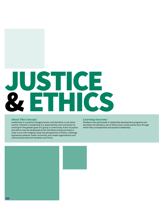## USTICE<br>, FTHICS ET HI

### About This Concept:

Leadership is a positive change process, and therefore, is not value neutral. Inherent in leadership is a responsibility and connection to working for the greater good of a group or community. A lens of justice and ethics must be developed at the individual and group levels in order to act with integrity, value the perspectives of others, challenge oppressive systems, foster inclusivity, and create organizations and communities where all members can thrive.

### Learning Outcome:

Students who participate in leadership development programs and activities will develop a set of ethics and a social justice lens through which they conceptualize and practice leadership.

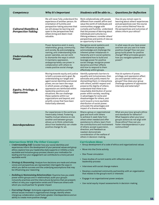| Competency                                                  | <b>Why It's Important</b>                                                                                                                                                                                                                                                                                                                                                                                                             | Students will be able to                                                                                                                                                                                                                                                                                                                                                                                                                                                                                                   | <b>Questions for Reflection</b>                                                                                                                                                                                     |
|-------------------------------------------------------------|---------------------------------------------------------------------------------------------------------------------------------------------------------------------------------------------------------------------------------------------------------------------------------------------------------------------------------------------------------------------------------------------------------------------------------------|----------------------------------------------------------------------------------------------------------------------------------------------------------------------------------------------------------------------------------------------------------------------------------------------------------------------------------------------------------------------------------------------------------------------------------------------------------------------------------------------------------------------------|---------------------------------------------------------------------------------------------------------------------------------------------------------------------------------------------------------------------|
| <b>Cultural Humility &amp;</b><br><b>Perspective-Taking</b> | We will never fully understand the<br>experience of another person. An<br>orientation of humility and<br>perspective-taking assumes that<br>we will always be learning and<br>open to the perspectives that<br>others bring and deem most<br>valuable.                                                                                                                                                                                | Work collaboratively with people<br>different from oneself; affirm and<br>value the worth of individuals and<br>communities; engage with<br>curiosity and humility; understand<br>that the process of learning about<br>individuals and cultures is a<br>lifelong endeavor; consider others'<br>perspectives and points of view as<br>an opportunity to learn.                                                                                                                                                             | How do you remain open to<br>learning about others' experiences<br>and perspectives over the course<br>of your entire lifetime? How do<br>the perspectives and outcomes of<br>others inform your ethics?            |
| Understanding<br><b>Power</b>                               | Power dynamics exist in every<br>relationship, group, community,<br>and society. By acknowledging,<br>naming, and understanding how<br>power operates, we can work<br>to dismantle the ways in which<br>it maintains oppression,<br>andappropriately use power in<br>collaboration with others to<br>create positive social change.                                                                                                   | Recognize social systems and<br>their influence on people;<br>acknowledge and challenge the<br>inherent power imbalances in<br>hierarchy and in social systems;<br>understand how to build and<br>leverage power for positive<br>social change; recognize power<br>dynamics and their effects<br>and how to respond to them<br>effectively within groups.                                                                                                                                                                  | In what ways do you have power<br>and how can you use it to make<br>positive change? How can your<br>group build power for positive<br>change? What principles govern<br>how you navigate systems of<br>power?      |
| Equity, Privilege, &<br><b>Oppression</b>                   | Moving towards equity and justice<br>is both a process and a goal. By<br>understanding our target and<br>agent social identities and social<br>power, we can learn the ways<br>in which power, privilege, and<br>oppression are reinforced within<br>leadership positions and<br>situations. We can challenge<br>these systems within our<br>organizations and beyond, and<br>amplify voices that have been<br>historically silenced. | Identify systematic barriers to<br>equality and inclusiveness, then<br>advocate and justify means for<br>dismantling them; in interactions<br>with others, exhibit respect and<br>preserve the dignity of others;<br>understand that there is an<br>inequitable distribution of social<br>power within society, resulting<br>in advantages for some and<br>disadvantages for others, and<br>work toward a more equitable<br>distribution of social power;<br>articulate the advantages and<br>impact of a diverse society. | How do systems of power,<br>privilege, and oppression affect<br>you and operate within your<br>groups? How does your group<br>challenge systems of oppression<br>internally and externally?                         |
| Interdependence                                             | Our experiences in the world are<br>inextricably linked. Fostering<br>healthy mutual reliance on one<br>another and between groups<br>allows us to think collectively<br>about how leadership can create<br>positive change for all.                                                                                                                                                                                                  | Share a group or organizational<br>goal and work with others<br>to achieve it; seek help from<br>others when needed and offer<br>assistance to others; learn from<br>the contributions and involvement<br>of others; accept supervision,<br>direction, and feedback as<br>needed: demonstrate<br>consideration of the welfare of<br>others in decision-making.                                                                                                                                                             | What are your/your group's ethics<br>and standards for behavior?<br>What happens when your/your<br>group's actions do not align with<br>those ethics? How can you<br>foster interdependence in your<br>communities? |
| <b>Intersections With The Other Concepts</b>                |                                                                                                                                                                                                                                                                                                                                                                                                                                       | <b>Curriculum Ideas</b>                                                                                                                                                                                                                                                                                                                                                                                                                                                                                                    |                                                                                                                                                                                                                     |

- Understanding Self: Consider how your social identities and experiences inform the development of your personal values and group ethics; explore how your leadership style supports or inhibits a more equitable and inclusive group process; discern your motivation for leading and how your engagement can contribute to a more just and equitable world
- Strategy & Reasoning: Analyze how decisions are made and whose voices and perspectives are represented; interrogate the ways in which you define success and the underlying assumptions that may be influencing your reasoning
- Building & Maintaining Relationships: Examine how you wield power within groups and in relationships; audit your group's inclusivity practices and the intercultural dynamics that are present; reflect on why your organization exists and if there are others with whom you could partner for greater impact
- Executing Change: Anticipate orgaizational transitions and the ethical issues involved in organizational change; identify where intergroup collaboration could foster greater interdependence and an ability to create more positive change

### Curriculum Ideas

- Group development of a code of ethics and organizational values
- Move into the Circle activity
- Star Power simulation
- Case studies of current events with reflection about leadership process
- Interviews with social change makers
- Develop a sustained community partnership with an organization that relates to the group's work or interests
- Engage in an organizational power analysis
- Use racial equity impact assessments in decision-making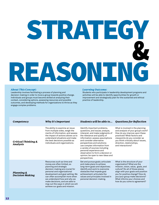### STRATEGY & REASONING

### About This Concept:

Leadership involves facilitating a process of planning and decision-making in order to move a group towards positive change. Individuals and groups must become skilled at analyzing their context, considering options, assessing resources and possible outcomes, and developing methods for organizations to thrive as they engage complex problems.

### Learning Outcome:

Students who participate in leadership development programs and activities will be able to identify opportunities for growth or improvement and strategically plan for the sustained and ethical practice of leadership.

| Competency                                      | Why It's Important                                                                                                                                                                                                                                                                                                                  | Students will be able to                                                                                                                                                                                                                                                                                                                                                                                                  | <b>Questions for Reflection</b>                                                                                                                                                                                                                                                                                   |
|-------------------------------------------------|-------------------------------------------------------------------------------------------------------------------------------------------------------------------------------------------------------------------------------------------------------------------------------------------------------------------------------------|---------------------------------------------------------------------------------------------------------------------------------------------------------------------------------------------------------------------------------------------------------------------------------------------------------------------------------------------------------------------------------------------------------------------------|-------------------------------------------------------------------------------------------------------------------------------------------------------------------------------------------------------------------------------------------------------------------------------------------------------------------|
| Critical Thinking &<br>Analysis                 | The ability to examine an issue<br>from multiple sides, weigh the<br>merits of information, and assess<br>the impact of actions allows us to<br>understand situations and make<br>the best decisions possible as<br>individuals and organizations.                                                                                  | Identify important problems,<br>questions, and issues; analyze,<br>interpret, and make judgments of<br>the relevance and quality of<br>information; assess assumptions<br>and consider alternative<br>perspectives and solutions;<br>use complex information from<br>a variety of sources including<br>personal experience and<br>observation to form a decision or<br>opinion; be open to new ideas and<br>perspectives. | What is involved in the planning<br>and analysis of your group's work?<br>How do you improve upon these<br>practices? What factors and<br>viewpoints do you consider as<br>you think critically about issues,<br>direction, relationships,<br>and interactions?                                                   |
| <b>Planning &amp;</b><br><b>Decision-Making</b> | Resources such as time and<br>money are often limited, so<br>planning and strategic<br>decision-making are crucial for<br>personal and organizational<br>development and goal setting. We<br>can often accomplish more when<br>we understand how and why we<br>make decisions, and are able to<br>map out the ways in which we will | Set and pursue goals; articulate<br>and make plans to achieve<br>long-term goals and objectives;<br>identify and work to overcome<br>obstacles that impede goal<br>achievement; articulate the<br>values and principles involved in<br>personal decision-making.                                                                                                                                                          | What is the structure of your<br>organization? What are the<br>mission, vision, value, goals, and<br>culture? Do all of those pieces<br>align with your goals and position<br>you for positive change? How do<br>you/your group make decisions?<br>What informs your choices and<br>how do you come to agreement? |

achieve our goals and mission.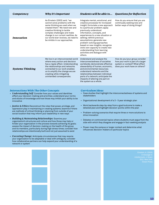| Competency              | <b>Why It's Important</b>                                                                                                                                                                                                                                                                                    | Students will be able to                                                                                                                                                                                                                                                                                                                                                                                                                                                          | <b>Questions for Reflection</b>                                                                                                         |
|-------------------------|--------------------------------------------------------------------------------------------------------------------------------------------------------------------------------------------------------------------------------------------------------------------------------------------------------------|-----------------------------------------------------------------------------------------------------------------------------------------------------------------------------------------------------------------------------------------------------------------------------------------------------------------------------------------------------------------------------------------------------------------------------------------------------------------------------------|-----------------------------------------------------------------------------------------------------------------------------------------|
| <b>Innovation</b>       | As Einstein (2003) said, "we<br>cannot solve problems with the<br>same thinking we used when we<br>created them." We need new and<br>creative thinking to tackle<br>complex challenges and make<br>change in our current realities. As<br>our world ever-evolves, we need to<br>be nimble in our approaches. | Integrate mental, emotional, and<br>creative processes for increased<br>insight; formulate a new approach<br>to a particular problem; apply<br>previously understood<br>information, concepts, and<br>experiences to a new situation or<br>setting; rethink previous<br>assumptions; generate new<br>problem-solving approaches<br>based on new insights; recognize<br>one's own capacity to create new<br>understanding from learning<br>activities and dialogue with<br>others. | How do you ensure that you are<br>continually seeking new and<br>better ways of doing things?                                           |
| <b>Systems Thinking</b> | We live in an interconnected world<br>where every action and decision<br>has a ripple effect. Understanding<br>the relationships and networks<br>connected to our work enables<br>us to amplify the change we are<br>creating while mitigating<br>unintended consequences.                                   | Understand and analyze the<br>interconnectedness of societies<br>worldwide; demonstrate effective<br>stewardship of human, economic,<br>and environmental resources:<br>understand networks and the<br>relationships between individual<br>parts of a network; anticipate the<br>impacts of altering one part on<br>the system as a whole.                                                                                                                                        | How do you/your group consider<br>how your work is part of a larger<br>system or context? What effect<br>does your work have on others? |

### Intersections With The Other Concepts

- Understanding Self: Consider how your values and identities affect your decision-making and priorities; understand your norms and stocks of knowledge and how those may inhibit your ability to be innovative
- Justice & Ethics**:** Deconstruct the roles that power, privilege, and oppression play in maintaining or creating systems; examine if there are methods of critical thinking or planning from outside of your social location that may inform your leadership in new ways
- Building & Maintaining Relationships: Examine your organization's structures and culture and how those may help or hinder your organization in the process towards achieving its goals; assess the impact of decision-making on the health of the group and its members, particularly during high stress times; consider how relationships are intentionally built and not just assumed to exist
- Executing Change: Anticipate circumstances that may require your organization to be adaptable or deal with ambiguity; consider how collaborative partners can help expand your understanding of a network or system

### Curriculum Ideas

- Case studies that highlight the interconnectedness of systems and stakeholders
- Organizational development of a 3 5 year strategic plan
- Work backwards step-by-step from a goal/outcome to make a detailed plan and highlight decision-points within the plan
- Problem-solving scenarios that require three or more solutions to drive innovation
- Debates on controversial topics where students must argue from the side with which they disagree and engage in fact-seeking analysis
- Power-map the campus or larger context and determine what influences decision-makers on particular topics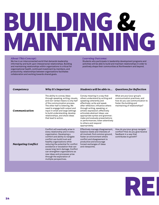## BUILDING & MAINTAINING

### About This Concept:

We live in an interconnected world that demands leadership informed by and built upon interpersonal relationships. Building and maintaining relationships within organizations is critical for organizational health, continued investment by members, and productivity; relationships between organizations facilitates collaboration and working towards shared goals.

### Learning Outcome:

Students who participate in leadership development programs and activities will be able to build and maintain relationships in order to positively shape their communities at Northwestern and beyond.

| Convey meaning in a way that<br>The ability to convey ideas<br>What are your/your group's<br>through speaking, writing, visuals,<br>others understand by writing and<br>communication practices, and<br>speaking coherently and<br>how do you use communication to<br>and non-verbal means is only half<br>of the communication process.<br>effectively; write and speak<br>foster the building and<br>maintaining of relationships?<br>The other half is listening. We<br>after reflection; influence others<br>need to engage both output and<br>through writing, speaking, or<br><b>Communication</b><br>input in small and large settings<br>artistic expression; effectively<br>to build understanding, develop<br>articulate abstract ideas; use<br>relationships, and share ideas<br>appropriate syntax and grammar;<br>that lead to action.<br>make and evaluate presentations<br>or performances; listen attentively<br>to others and respond<br>appropriately.<br>Conflict will eventually arise in<br>How do you/your group navigate<br>Effectively manage disagreement,<br>balance needs and interests of<br>every relationship and in every<br>conflict? How do you give/receive<br>feedback in a way that<br>organization. Developing a<br>all involved, find common ground,<br>comfort and ability to navigate<br>contributes to growth?<br>foster an environment where<br>conflict can build trust and<br>conflict and disagreement is<br>healthy organizations while<br>productive and encourage<br><b>Navigating Conflict</b><br>reducing the potential for conflict<br>honest exchanges of ideas<br>avoidance or escalation that can<br>and viewpoints.<br>cause long-term damage. Conflict<br>can strengthen organizations as | Competency | Why It's Important            | Students will be able to | <b>Questions for Reflection</b> |
|---------------------------------------------------------------------------------------------------------------------------------------------------------------------------------------------------------------------------------------------------------------------------------------------------------------------------------------------------------------------------------------------------------------------------------------------------------------------------------------------------------------------------------------------------------------------------------------------------------------------------------------------------------------------------------------------------------------------------------------------------------------------------------------------------------------------------------------------------------------------------------------------------------------------------------------------------------------------------------------------------------------------------------------------------------------------------------------------------------------------------------------------------------------------------------------------------------------------------------------------------------------------------------------------------------------------------------------------------------------------------------------------------------------------------------------------------------------------------------------------------------------------------------------------------------------------------------------------------------------------------------------------------------------------------------------------------------------------------------------------------|------------|-------------------------------|--------------------------|---------------------------------|
|                                                                                                                                                                                                                                                                                                                                                                                                                                                                                                                                                                                                                                                                                                                                                                                                                                                                                                                                                                                                                                                                                                                                                                                                                                                                                                                                                                                                                                                                                                                                                                                                                                                                                                                                                   |            |                               |                          |                                 |
| through the exploration of<br>multiple perspectives.                                                                                                                                                                                                                                                                                                                                                                                                                                                                                                                                                                                                                                                                                                                                                                                                                                                                                                                                                                                                                                                                                                                                                                                                                                                                                                                                                                                                                                                                                                                                                                                                                                                                                              |            | new ideas and processes arise |                          |                                 |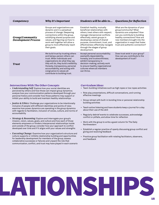| Competency                                    | <b>Why It's Important</b>                                                                                                                                                                                                                                                                                       | Students will be able to                                                                                                                                                                                                                                                                                                       | <b>Questions for Reflection</b>                                                                                                                                                                                                                               |
|-----------------------------------------------|-----------------------------------------------------------------------------------------------------------------------------------------------------------------------------------------------------------------------------------------------------------------------------------------------------------------|--------------------------------------------------------------------------------------------------------------------------------------------------------------------------------------------------------------------------------------------------------------------------------------------------------------------------------|---------------------------------------------------------------------------------------------------------------------------------------------------------------------------------------------------------------------------------------------------------------|
| Group/Community<br><b>Development Process</b> | Groups and organizations are<br>dynamic and in a perpetual<br>process of change. Deepening<br>connections within the group,<br>solidifying shared purpose and<br>values, and figuring out how to<br>work well together will allow a<br>group to more effectively reach<br>their goals.                          | Establish healthy, mutually<br>beneficial relationships with<br>others; treat others with respect;<br>manage interpersonal conflicts<br>effectively; assist groups in<br>developing a sense of shared<br>purpose, commitment, trust, and<br>effectiveness; effectively navigate<br>through the stages of group<br>development. | What are the dynamics of your<br>group/community? What<br>dynamics are unspoken? How<br>can you contribute to building<br>healthy connections? How are<br>new members brought into the<br>organization in ways that foster<br>trust and authentic connection? |
| <b>Trust</b>                                  | We build trust by trusting others<br>and being a person others can<br>trust. When individuals and<br>organizations do what they say<br>they will do, they build credibility.<br>Honesty, transparency, personal<br>accountability, and acting with<br>congruence to values all<br>contribute to building trust. | Accept personal accountability;<br>exemplify dependability,<br>honesty, and trustworthiness;<br>exhibit transparency in<br>decision-making; actively work<br>to ensure healthy organizational<br>cultures where all members<br>can thrive.                                                                                     | Does trust exist in your group?<br>How can you contribute to the<br>development of trust?                                                                                                                                                                     |

### Intersections With The Other Concepts

- Understanding Self: Explore how your social identities are perceived by others and how those can impact group dynamics; analyze how your communication patterns developed through your personal history and consider how those patterns may support or inhibit your ability to build and maintain healthy relationships
- *Justice & Ethics:* Challenge your organizations to be intentionally inclusive of people with different identities and points of view; examine how power dynamics are operating in the group dynamics with regards to facilitation, inclusion of voices, culture, and norms of accountability
- Strategy & Reasoning: Explore and interrogate your group's mission, vision, values, goals, and culture and how each of those elements empowers or hinders interpersonal relationships inside and outside of the group; consider how your approach to conflict developed over time and if it aligns with your values and strengths
- Executing Change: Examine how your organization's structure and culture supports or inhibits relationship building and opportunities for leadership development for members of the group; assess collaborative successes or failures and unpack the role that communication, conflict, and trust may have played in each scenario

### Curriculum Ideas

- Team-building initiatives such as high ropes or low ropes activities
- Role play presentations, difficult conversations, and running effective meetings
- Group retreat with built-in bonding time or personal relationship building activities
- Teach active listening and have students keep a journal for a day about their use of the skill
- Regularly debrief events to celebrate successes, acknowledge conflict or pitfalls, and allow time for reflection
- Work with the group to write a guest column for The Daily Northwestern
- Establish a regular practice of openly discussing group conflict and giving and receiving feedback
- Practice group facilitation with rotating facilitators, observers, and feedback

# RELATIONSHIPS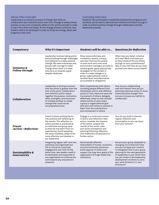### About This Concept:

Leadership is an iterative process of change that relies on collaborative and collective action over time. Change is rarely a linear process, so we must constantly reflect on the actions we take in order to learn from them and adapt. As the change process continues, new leaders need to be developed in order to bring new energy, ideas, and longevity to the work.

### Learning Outcome:

Students who participate in leadership development programs and activities will be able to demonstrate initiative and follow through in order to achieve positive change through collaboration and the leadership process.

| Competency                                | <b>Why It's Important</b>                                                                                                                                                                                                                                                                                                      | Students will be able to                                                                                                                                                                                                                                                                                                                                                                       | <b>Questions for Reflection</b>                                                                                                                                                                                                                                                                                               |
|-------------------------------------------|--------------------------------------------------------------------------------------------------------------------------------------------------------------------------------------------------------------------------------------------------------------------------------------------------------------------------------|------------------------------------------------------------------------------------------------------------------------------------------------------------------------------------------------------------------------------------------------------------------------------------------------------------------------------------------------------------------------------------------------|-------------------------------------------------------------------------------------------------------------------------------------------------------------------------------------------------------------------------------------------------------------------------------------------------------------------------------|
| <b>Initiative &amp;</b><br>Follow-through | Leadership involves taking action<br>and persisting through challenges<br>and setbacks to create positive<br>change. We need individuals and<br>groups with courage to make<br>change when there is a need<br>and carry on towards a goal<br>despite obstacles.                                                                | Show resourcefulness and<br>motivation; assess, critique,<br>and then improve the quality<br>of one's work and one's work<br>environment; manage a process to<br>achieve goals; apply appropriate<br>strategies for the context in<br>order to create change on a<br>group, organizational, and/or<br>societal level; hold themselves<br>accountable to obligations.                           | When have you taken initiative<br>and why? What motivates you<br>to take initiative? Do you follow<br>through on your commitments?<br>Why or why not? How do you hold<br>yourself and others accountable?                                                                                                                     |
| <b>Collaboration</b>                      | Leadership is striving to ensure<br>that the whole is greater than the<br>sum of the parts. Collaboration<br>and collective action weave<br>together the passion, motivation,<br>skills, strengths, and resources<br>of multiple entities to create<br>change that could not be<br>accomplished alone.                         | Work cooperatively with others,<br>including people different from<br>themselves and/or with different<br>points of view; seek and value the<br>involvement of others; delegate<br>effectively; listen to and consider<br>others' points of view; share<br>a group or organizational goal<br>and work with others to achieve it;<br>learn from the contributions<br>and involvement of others. | How are you collaborating<br>well with others? How are you<br>planning collective action to move<br>toward positive change? How<br>can you increase your ability to<br>collaborate?                                                                                                                                           |
| Praxis<br>(Action + Reflection)           | Praxis involves putting theory<br>into practice and reflecting on<br>the results. The reflection on<br>action process is practiced at<br>an individual and group level<br>so that we may learn from our<br>experiences, avoid repeating<br>the same mistakes, adapt to be<br>more effective, and develop in<br>our leadership. | Engage in a continual process<br>of action and reflection; take<br>action, consider the impacts<br>of the action, analyze the<br>results of the action, alter<br>and revise conceptions and<br>planning following reflection,<br>and implement revised plans in<br>further action.                                                                                                             | How do you build in time for<br>regular reflection and<br>conversation so you can learn<br>from your actions?                                                                                                                                                                                                                 |
| Sustainability &<br><b>Generativity</b>   | Integrating regular self-care into<br>individual and organizational<br>life is critical for sustained<br>engagement over time. At the<br>same time, new leaders need to<br>be developed and supported in<br>any organization to continue the<br>work beyond any one person's<br>presence.                                      | Demonstrate effective<br>stewardship of human, economic,<br>and environmental resources;<br>build capacity of others and<br>support the long-term goals of the<br>organization through leadership<br>transitions.                                                                                                                                                                              | Are you/your group adaptable to<br>changing circumstances? How<br>can you increase your comfort<br>in ambiguity? How is your group<br>planning for the next generation<br>of leadership in your work? How<br>can you invest in the leadership<br>development of others to carry<br>your work forward or in new<br>directions? |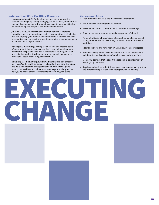### Intersections With The Other Concepts

- Understanding Self: Explore how you and your organization respond to ambiguity, rapidly changing circumstances, and failure so you can develop resiliency through those experiences; consider how your leadership style supports or hinders collaboration
- Justice & Ethics: Deconstruct your organization's leadership transitions and practices of succession to ensure they are inclusive and ethical; map your network of collaborators to determine which perspectives may be missing or what unintended consequences may occur as a result of your actions
- Strategy & Reasoning: Anticipate obstacles and foster a spirit of adaptation to better manage ambiguity and unique situations; consider the experiences of newer members of your organization and build leadership development into the core of your work; be intentional about onboarding new members
- Building & Maintaining Relationships: Explore how practices such as reflection and intentional collaboration impact the formation and development of the group; consider how you and your group respond to new ideas and initiatives that emerge from the group and how you hold each other accountable to follow through on plans

### Curriculum Ideas

- Case studies of effective and ineffective collaboration
- SWOT analysis after program or initiative
- New member retreat or new leadership transition meetings
- Ongoing member development and engagement of alumni
- Personal reflection through journals about personal examples of taking initiative and follow-through or when those actions were not taken
- Regular debriefs and reflection on activities, events, or projects
- Problem-solving exercises or low-ropes initiatives that develop collaboration skills and a group's ability to navigate ambiguity
- Mentoring pairings that support the leadership development of newer group members
- Regular celebrations, mindfulness exercises, moments of gratitude, and other similar practices to support group sustainability

EXECUTING CHANGE

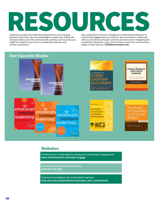# RESOURCES

Leadership studies and Leadership development is an emerging academic field. Every day new knowledge is created that shapes the discipline. Below are a few seminal books, articles, and resources you might find helpful in your work as a leadership educator and scholar-practitioner.

Also, please know that your colleagues in Leadership Development & Community Engagement are a resource. We are excited to collaborate with you and serve as thought-partners and resources in integrating the Leadership Framework in your work. Contact us any time and we will be happy to meet with you: **LDCE@northwestern.edu.**



### **Websites**

Northwestern's Leadership Development & Community Engagement: **www.northwestern.edu/lead-engage**

International Leadership Association: **www.ila-net.org/**

National Clearinghouse for Leadership Programs: **nclp.umd.edu/publications/concepts\_and\_connections**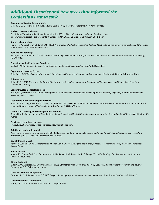### Additional Theories and Resources that Informed the Leadership Framework

### **Accelerating Leader Development**:

Murphy, S. E., & Reichard, R. J. (Eds.). (2011). *Early development and leadership*. New York: Routledge.

### **Active Citizens Continuum:**

Break Away, The Alternative Break Connection, Inc. (2012). *The active citizen continuum*. Retrieved from http://alternativebreaks.org/wp-content/uploads/2014/06/Active-Citizen-Continuum-2012-2.pdf

### **Adaptive Leadership:**

Heifetz, R. A., Grashow, A., & Linsky, M. (2009). *The practice of adaptive leadership: Tools and tactics for changing your organization and the world*. Boston, Mass.: Harvard Business Press.

### **Authentic Leadership:**

Avolio, B.J., & Gardner, W.L. (2005). *Authentic leadership development: Getting to the root of positive forms of leadership*. Leadership Quarterly, 16, 315-338.

### **Education as the Practice of Freedom:**

hooks, b. (1994). *Teaching to transgress: Education as the practice of freedom*. New York: Routledge.

### **Experiential Learning Cycle**:

Kolb, David A. (1984). *Experiential learning: Experience as the source of learning and development*. Englewood Cliffs, N.J.: Prentice-Hall.

### **Followership**:

Kelley, R. E. (1992). *The power of followership: How to create leaders people want to follow, and followers who lead themselves*. New York: Doubleday/Currency.

### **Leader Developmental Readiness**:

Avolio, B. J., & Hannah, S. T. (2008). Developmental readiness: Accelerating leader development*. Consulting Psychology Journal: Practice and Research, 60*(4), 331-347.

### **Leadership Identity Development Model**:

Komives, S. R., Longerbeam, S. D., Owen, J. E., Mainella, F. C., & Osteen, L. (2004). A leadership identity development model: Applications from a grounded theory. *Journal of College Student Development, 47*(4), 401-418.

### **Leadership Learning and Development Outcomes**:

Council for the Advancement of Standards in Higher Education. (2015). *CAS professional standards for higher education* (9th ed.). Washington, DC: Author.

### **Praxis and Liberatory Learning**:

Freire, P. (2000). *Pedagogy of the oppressed*. New York: Continuum.

### **Relational Leadership Model**:

Komives, S. R., Lucas, N., McMahon, T. R. (2013). Relational leadership model. *Exploring leadership for college students who want to make a difference* (pp. 93 – 145). San Francisco: Jossey-Bass.

### **Social Change Model**:

Komives, Susan R. (2009). *Leadership for a better world: Understanding the social change model of leadership development*. San Francisco: Jossey-Bass.

### **Social Justice**:

Adams, M., Blumenfeld, W. J., Castañeda, C. R., Hackman, H. W., Peters, M. L., & Zúñiga, X. (2010). *Readings for diversity and social justice.* New York: Routledge.

### **StrengthsQuest**:

Clifton, D. O., Anderson, E., & Schreiner, L. A. (2006). *StrengthsQuest: Discover and develop your strengths in academics, career, and beyond*. Washington, D.C.: Gallup Organization.

### **Theory of Group Development**:

Tuckman, B. W., & Jensen, M. A. C. (1977), Stages of small group development revisited. *Group and Organization Studies, 2*(4), 419-427.

### **Transformational Leadership**:

Burns, J. M. G. (1978). *Leadership*. New York: Harper & Row.